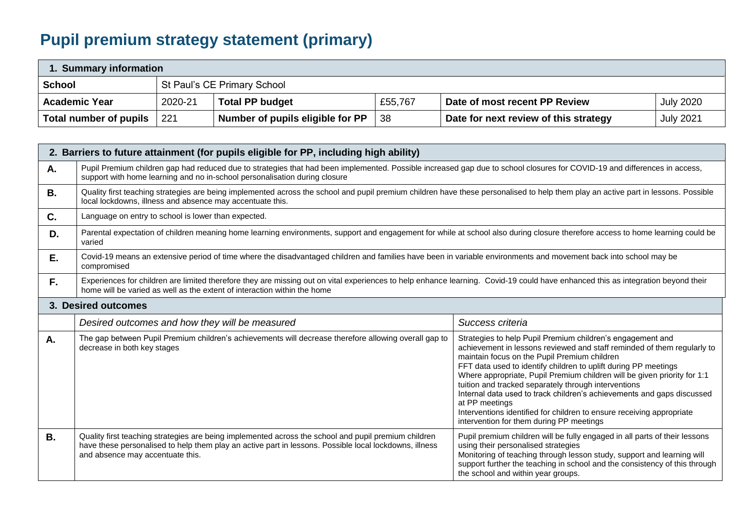# **Pupil premium strategy statement (primary)**

| Summary information    |         |                                  |         |                                       |                  |  |  |  |  |  |
|------------------------|---------|----------------------------------|---------|---------------------------------------|------------------|--|--|--|--|--|
| <b>School</b>          |         | St Paul's CE Primary School      |         |                                       |                  |  |  |  |  |  |
| <b>Academic Year</b>   | 2020-21 | <b>Total PP budget</b>           | £55,767 | Date of most recent PP Review         | <b>July 2020</b> |  |  |  |  |  |
| Total number of pupils | 221     | Number of pupils eligible for PP | 38      | Date for next review of this strategy | <b>July 2021</b> |  |  |  |  |  |

|           | 2. Barriers to future attainment (for pupils eligible for PP, including high ability)                                                                                                                                                                        |                                                                                                                                                                                                                                                                                                                                                                                                                                                                                                                                                                                                               |  |  |  |  |  |
|-----------|--------------------------------------------------------------------------------------------------------------------------------------------------------------------------------------------------------------------------------------------------------------|---------------------------------------------------------------------------------------------------------------------------------------------------------------------------------------------------------------------------------------------------------------------------------------------------------------------------------------------------------------------------------------------------------------------------------------------------------------------------------------------------------------------------------------------------------------------------------------------------------------|--|--|--|--|--|
| Α.        | Pupil Premium children gap had reduced due to strategies that had been implemented. Possible increased gap due to school closures for COVID-19 and differences in access,<br>support with home learning and no in-school personalisation during closure      |                                                                                                                                                                                                                                                                                                                                                                                                                                                                                                                                                                                                               |  |  |  |  |  |
| В.        | Quality first teaching strategies are being implemented across the school and pupil premium children have these personalised to help them play an active part in lessons. Possible<br>local lockdowns, illness and absence may accentuate this.              |                                                                                                                                                                                                                                                                                                                                                                                                                                                                                                                                                                                                               |  |  |  |  |  |
| C.        | Language on entry to school is lower than expected.                                                                                                                                                                                                          |                                                                                                                                                                                                                                                                                                                                                                                                                                                                                                                                                                                                               |  |  |  |  |  |
| D.        | Parental expectation of children meaning home learning environments, support and engagement for while at school also during closure therefore access to home learning could be<br>varied                                                                     |                                                                                                                                                                                                                                                                                                                                                                                                                                                                                                                                                                                                               |  |  |  |  |  |
| Ε.        | Covid-19 means an extensive period of time where the disadvantaged children and families have been in variable environments and movement back into school may be<br>compromised                                                                              |                                                                                                                                                                                                                                                                                                                                                                                                                                                                                                                                                                                                               |  |  |  |  |  |
| F.        | Experiences for children are limited therefore they are missing out on vital experiences to help enhance learning. Covid-19 could have enhanced this as integration beyond their<br>home will be varied as well as the extent of interaction within the home |                                                                                                                                                                                                                                                                                                                                                                                                                                                                                                                                                                                                               |  |  |  |  |  |
|           | 3. Desired outcomes                                                                                                                                                                                                                                          |                                                                                                                                                                                                                                                                                                                                                                                                                                                                                                                                                                                                               |  |  |  |  |  |
|           | Desired outcomes and how they will be measured                                                                                                                                                                                                               | Success criteria                                                                                                                                                                                                                                                                                                                                                                                                                                                                                                                                                                                              |  |  |  |  |  |
| Α.        | The gap between Pupil Premium children's achievements will decrease therefore allowing overall gap to<br>decrease in both key stages                                                                                                                         | Strategies to help Pupil Premium children's engagement and<br>achievement in lessons reviewed and staff reminded of them regularly to<br>maintain focus on the Pupil Premium children<br>FFT data used to identify children to uplift during PP meetings<br>Where appropriate, Pupil Premium children will be given priority for 1:1<br>tuition and tracked separately through interventions<br>Internal data used to track children's achievements and gaps discussed<br>at PP meetings<br>Interventions identified for children to ensure receiving appropriate<br>intervention for them during PP meetings |  |  |  |  |  |
| <b>B.</b> | Quality first teaching strategies are being implemented across the school and pupil premium children<br>have these personalised to help them play an active part in lessons. Possible local lockdowns, illness<br>and absence may accentuate this.           | Pupil premium children will be fully engaged in all parts of their lessons<br>using their personalised strategies<br>Monitoring of teaching through lesson study, support and learning will<br>support further the teaching in school and the consistency of this through<br>the school and within year groups.                                                                                                                                                                                                                                                                                               |  |  |  |  |  |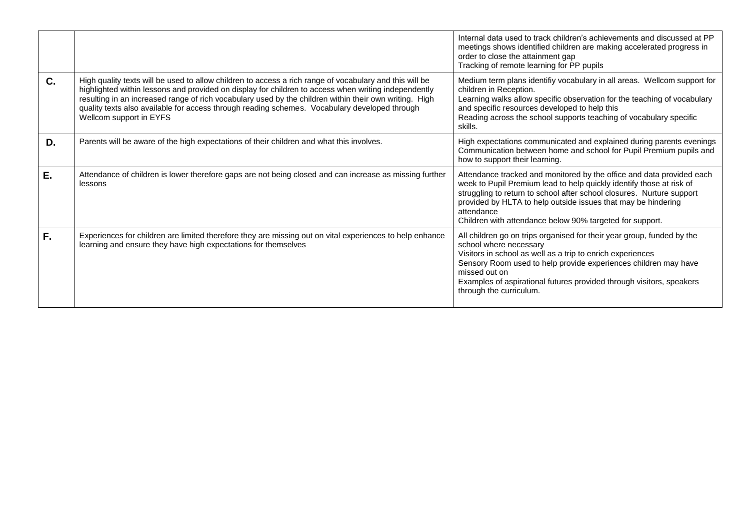|         |                                                                                                                                                                                                                                                                                                                                                                                                                                                       | Internal data used to track children's achievements and discussed at PP<br>meetings shows identified children are making accelerated progress in<br>order to close the attainment gap<br>Tracking of remote learning for PP pupils                                                                                                                                |
|---------|-------------------------------------------------------------------------------------------------------------------------------------------------------------------------------------------------------------------------------------------------------------------------------------------------------------------------------------------------------------------------------------------------------------------------------------------------------|-------------------------------------------------------------------------------------------------------------------------------------------------------------------------------------------------------------------------------------------------------------------------------------------------------------------------------------------------------------------|
| $C_{1}$ | High quality texts will be used to allow children to access a rich range of vocabulary and this will be<br>highlighted within lessons and provided on display for children to access when writing independently<br>resulting in an increased range of rich vocabulary used by the children within their own writing. High<br>quality texts also available for access through reading schemes. Vocabulary developed through<br>Wellcom support in EYFS | Medium term plans identifiy vocabulary in all areas. Wellcom support for<br>children in Reception.<br>Learning walks allow specific observation for the teaching of vocabulary<br>and specific resources developed to help this<br>Reading across the school supports teaching of vocabulary specific<br>skills.                                                  |
| D.      | Parents will be aware of the high expectations of their children and what this involves.                                                                                                                                                                                                                                                                                                                                                              | High expectations communicated and explained during parents evenings<br>Communication between home and school for Pupil Premium pupils and<br>how to support their learning.                                                                                                                                                                                      |
| E.      | Attendance of children is lower therefore gaps are not being closed and can increase as missing further<br>lessons                                                                                                                                                                                                                                                                                                                                    | Attendance tracked and monitored by the office and data provided each<br>week to Pupil Premium lead to help quickly identify those at risk of<br>struggling to return to school after school closures. Nurture support<br>provided by HLTA to help outside issues that may be hindering<br>attendance<br>Children with attendance below 90% targeted for support. |
| F.      | Experiences for children are limited therefore they are missing out on vital experiences to help enhance<br>learning and ensure they have high expectations for themselves                                                                                                                                                                                                                                                                            | All children go on trips organised for their year group, funded by the<br>school where necessary<br>Visitors in school as well as a trip to enrich experiences<br>Sensory Room used to help provide experiences children may have<br>missed out on<br>Examples of aspirational futures provided through visitors, speakers<br>through the curriculum.             |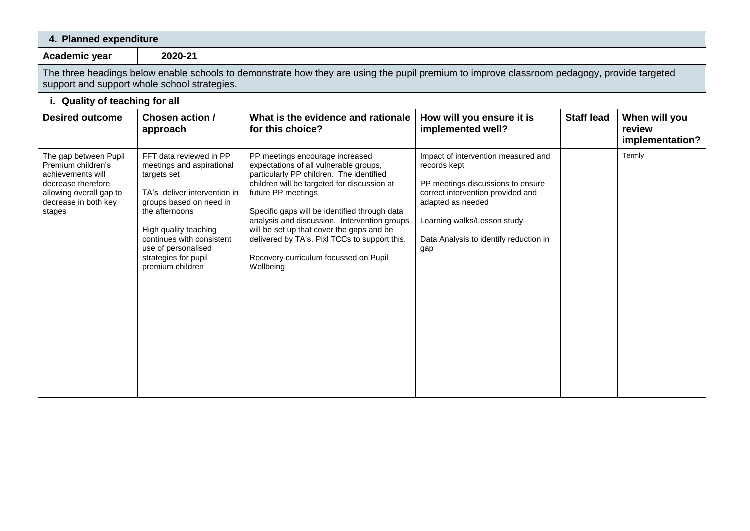| 4. Planned expenditure                                                                                                                                                                      |                                                                                                                                                                                                                                                                           |                                                                                                                                                                                                                                                                                                                                                                                                                                                 |                                                                                                                                                                                                                                    |                   |                                            |  |  |  |  |  |  |
|---------------------------------------------------------------------------------------------------------------------------------------------------------------------------------------------|---------------------------------------------------------------------------------------------------------------------------------------------------------------------------------------------------------------------------------------------------------------------------|-------------------------------------------------------------------------------------------------------------------------------------------------------------------------------------------------------------------------------------------------------------------------------------------------------------------------------------------------------------------------------------------------------------------------------------------------|------------------------------------------------------------------------------------------------------------------------------------------------------------------------------------------------------------------------------------|-------------------|--------------------------------------------|--|--|--|--|--|--|
| Academic year                                                                                                                                                                               | 2020-21                                                                                                                                                                                                                                                                   |                                                                                                                                                                                                                                                                                                                                                                                                                                                 |                                                                                                                                                                                                                                    |                   |                                            |  |  |  |  |  |  |
| The three headings below enable schools to demonstrate how they are using the pupil premium to improve classroom pedagogy, provide targeted<br>support and support whole school strategies. |                                                                                                                                                                                                                                                                           |                                                                                                                                                                                                                                                                                                                                                                                                                                                 |                                                                                                                                                                                                                                    |                   |                                            |  |  |  |  |  |  |
| i. Quality of teaching for all                                                                                                                                                              |                                                                                                                                                                                                                                                                           |                                                                                                                                                                                                                                                                                                                                                                                                                                                 |                                                                                                                                                                                                                                    |                   |                                            |  |  |  |  |  |  |
| <b>Desired outcome</b>                                                                                                                                                                      | <b>Chosen action /</b><br>approach                                                                                                                                                                                                                                        | What is the evidence and rationale<br>for this choice?                                                                                                                                                                                                                                                                                                                                                                                          | How will you ensure it is<br>implemented well?                                                                                                                                                                                     | <b>Staff lead</b> | When will you<br>review<br>implementation? |  |  |  |  |  |  |
| The gap between Pupil<br>Premium children's<br>achievements will<br>decrease therefore<br>allowing overall gap to<br>decrease in both key<br>stages                                         | FFT data reviewed in PP<br>meetings and aspirational<br>targets set<br>TA's deliver intervention in<br>groups based on need in<br>the afternoons<br>High quality teaching<br>continues with consistent<br>use of personalised<br>strategies for pupil<br>premium children | PP meetings encourage increased<br>expectations of all vulnerable groups,<br>particularly PP children. The identified<br>children will be targeted for discussion at<br>future PP meetings<br>Specific gaps will be identified through data<br>analysis and discussion. Intervention groups<br>will be set up that cover the gaps and be<br>delivered by TA's. Pixl TCCs to support this.<br>Recovery curriculum focussed on Pupil<br>Wellbeing | Impact of intervention measured and<br>records kept<br>PP meetings discussions to ensure<br>correct intervention provided and<br>adapted as needed<br>Learning walks/Lesson study<br>Data Analysis to identify reduction in<br>gap |                   | Termly                                     |  |  |  |  |  |  |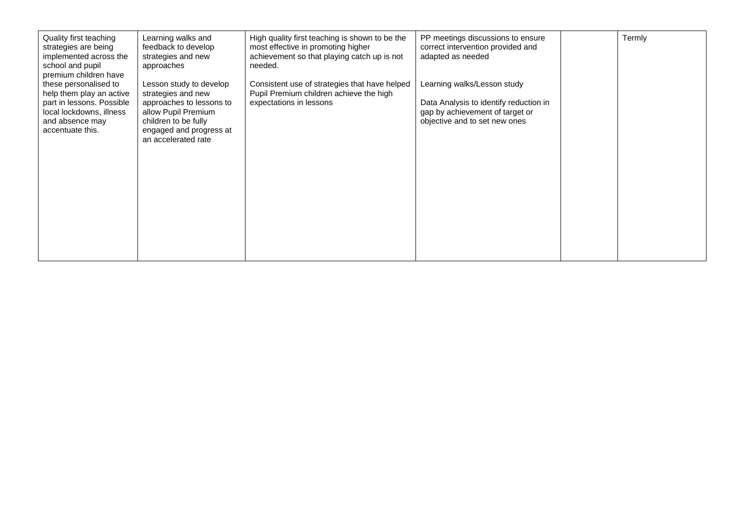| Quality first teaching<br>strategies are being<br>implemented across the | Learning walks and<br>feedback to develop<br>strategies and new         | High quality first teaching is shown to be the<br>most effective in promoting higher<br>achievement so that playing catch up is not | PP meetings discussions to ensure<br>correct intervention provided and<br>adapted as needed                | Termly |
|--------------------------------------------------------------------------|-------------------------------------------------------------------------|-------------------------------------------------------------------------------------------------------------------------------------|------------------------------------------------------------------------------------------------------------|--------|
| school and pupil<br>premium children have                                | approaches                                                              | needed.                                                                                                                             |                                                                                                            |        |
| these personalised to<br>help them play an active                        | Lesson study to develop<br>strategies and new                           | Consistent use of strategies that have helped<br>Pupil Premium children achieve the high                                            | Learning walks/Lesson study                                                                                |        |
| part in lessons. Possible<br>local lockdowns, illness<br>and absence may | approaches to lessons to<br>allow Pupil Premium<br>children to be fully | expectations in lessons                                                                                                             | Data Analysis to identify reduction in<br>gap by achievement of target or<br>objective and to set new ones |        |
| accentuate this.                                                         | engaged and progress at<br>an accelerated rate                          |                                                                                                                                     |                                                                                                            |        |
|                                                                          |                                                                         |                                                                                                                                     |                                                                                                            |        |
|                                                                          |                                                                         |                                                                                                                                     |                                                                                                            |        |
|                                                                          |                                                                         |                                                                                                                                     |                                                                                                            |        |
|                                                                          |                                                                         |                                                                                                                                     |                                                                                                            |        |
|                                                                          |                                                                         |                                                                                                                                     |                                                                                                            |        |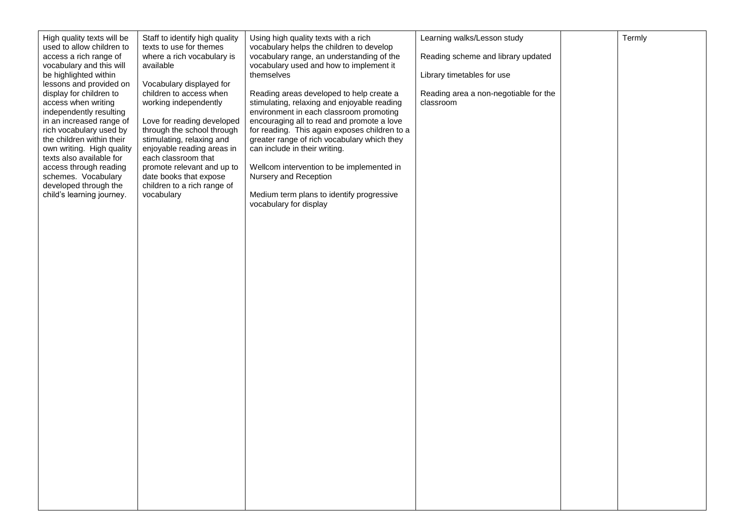| High quality texts will be<br>used to allow children to                                                                                                                                                                                                                                                                                                  | Staff to identify high quality<br>texts to use for themes                                                                                                                                                                                                                                                                       | Using high quality texts with a rich<br>vocabulary helps the children to develop                                                                                                                                                                                                                                                                                                                                                                               | Learning walks/Lesson study                        | Termly |
|----------------------------------------------------------------------------------------------------------------------------------------------------------------------------------------------------------------------------------------------------------------------------------------------------------------------------------------------------------|---------------------------------------------------------------------------------------------------------------------------------------------------------------------------------------------------------------------------------------------------------------------------------------------------------------------------------|----------------------------------------------------------------------------------------------------------------------------------------------------------------------------------------------------------------------------------------------------------------------------------------------------------------------------------------------------------------------------------------------------------------------------------------------------------------|----------------------------------------------------|--------|
| access a rich range of<br>vocabulary and this will                                                                                                                                                                                                                                                                                                       | where a rich vocabulary is<br>available                                                                                                                                                                                                                                                                                         | vocabulary range, an understanding of the<br>vocabulary used and how to implement it                                                                                                                                                                                                                                                                                                                                                                           | Reading scheme and library updated                 |        |
| be highlighted within                                                                                                                                                                                                                                                                                                                                    |                                                                                                                                                                                                                                                                                                                                 | themselves                                                                                                                                                                                                                                                                                                                                                                                                                                                     | Library timetables for use                         |        |
| lessons and provided on<br>display for children to<br>access when writing<br>independently resulting<br>in an increased range of<br>rich vocabulary used by<br>the children within their<br>own writing. High quality<br>texts also available for<br>access through reading<br>schemes. Vocabulary<br>developed through the<br>child's learning journey. | Vocabulary displayed for<br>children to access when<br>working independently<br>Love for reading developed<br>through the school through<br>stimulating, relaxing and<br>enjoyable reading areas in<br>each classroom that<br>promote relevant and up to<br>date books that expose<br>children to a rich range of<br>vocabulary | Reading areas developed to help create a<br>stimulating, relaxing and enjoyable reading<br>environment in each classroom promoting<br>encouraging all to read and promote a love<br>for reading. This again exposes children to a<br>greater range of rich vocabulary which they<br>can include in their writing.<br>Wellcom intervention to be implemented in<br>Nursery and Reception<br>Medium term plans to identify progressive<br>vocabulary for display | Reading area a non-negotiable for the<br>classroom |        |
|                                                                                                                                                                                                                                                                                                                                                          |                                                                                                                                                                                                                                                                                                                                 |                                                                                                                                                                                                                                                                                                                                                                                                                                                                |                                                    |        |
|                                                                                                                                                                                                                                                                                                                                                          |                                                                                                                                                                                                                                                                                                                                 |                                                                                                                                                                                                                                                                                                                                                                                                                                                                |                                                    |        |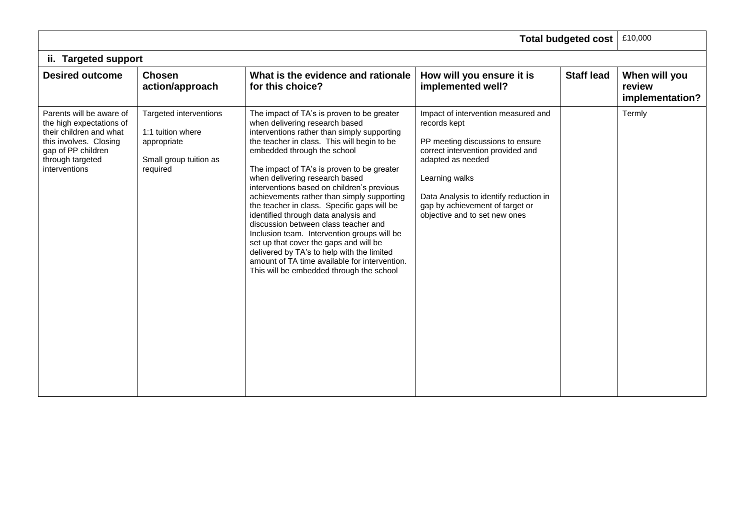|                                                                                                                                                                      |                                                                                                  |                                                                                                                                                                                                                                                                                                                                                                                                                                                                                                                                                                                                                                                                                                                                                          |                                                                                                                                                                                                                                                                                   | <b>Total budgeted cost</b> | £10,000                                    |
|----------------------------------------------------------------------------------------------------------------------------------------------------------------------|--------------------------------------------------------------------------------------------------|----------------------------------------------------------------------------------------------------------------------------------------------------------------------------------------------------------------------------------------------------------------------------------------------------------------------------------------------------------------------------------------------------------------------------------------------------------------------------------------------------------------------------------------------------------------------------------------------------------------------------------------------------------------------------------------------------------------------------------------------------------|-----------------------------------------------------------------------------------------------------------------------------------------------------------------------------------------------------------------------------------------------------------------------------------|----------------------------|--------------------------------------------|
| ii. Targeted support                                                                                                                                                 |                                                                                                  |                                                                                                                                                                                                                                                                                                                                                                                                                                                                                                                                                                                                                                                                                                                                                          |                                                                                                                                                                                                                                                                                   |                            |                                            |
| <b>Desired outcome</b>                                                                                                                                               | <b>Chosen</b><br>action/approach                                                                 | What is the evidence and rationale<br>for this choice?                                                                                                                                                                                                                                                                                                                                                                                                                                                                                                                                                                                                                                                                                                   | How will you ensure it is<br>implemented well?                                                                                                                                                                                                                                    | <b>Staff lead</b>          | When will you<br>review<br>implementation? |
| Parents will be aware of<br>the high expectations of<br>their children and what<br>this involves. Closing<br>gap of PP children<br>through targeted<br>interventions | Targeted interventions<br>1:1 tuition where<br>appropriate<br>Small group tuition as<br>required | The impact of TA's is proven to be greater<br>when delivering research based<br>interventions rather than simply supporting<br>the teacher in class. This will begin to be<br>embedded through the school<br>The impact of TA's is proven to be greater<br>when delivering research based<br>interventions based on children's previous<br>achievements rather than simply supporting<br>the teacher in class. Specific gaps will be<br>identified through data analysis and<br>discussion between class teacher and<br>Inclusion team. Intervention groups will be<br>set up that cover the gaps and will be<br>delivered by TA's to help with the limited<br>amount of TA time available for intervention.<br>This will be embedded through the school | Impact of intervention measured and<br>records kept<br>PP meeting discussions to ensure<br>correct intervention provided and<br>adapted as needed<br>Learning walks<br>Data Analysis to identify reduction in<br>gap by achievement of target or<br>objective and to set new ones |                            | Termly                                     |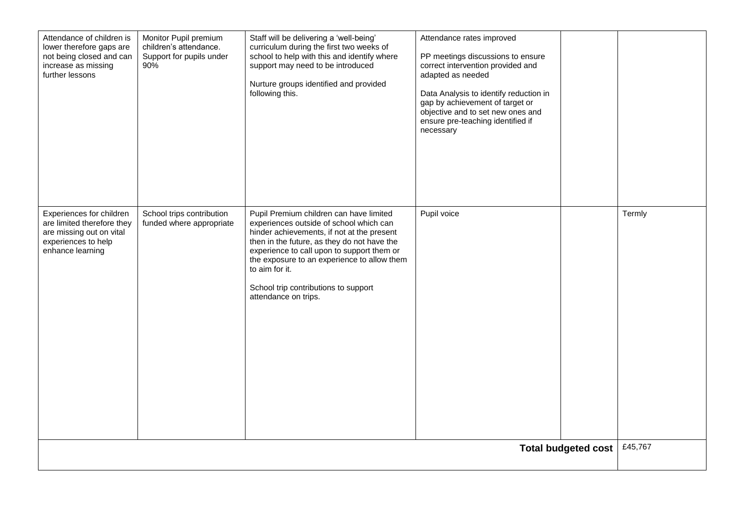| Attendance of children is<br>lower therefore gaps are<br>not being closed and can<br>increase as missing<br>further lessons   | Monitor Pupil premium<br>children's attendance.<br>Support for pupils under<br>90% | Staff will be delivering a 'well-being'<br>curriculum during the first two weeks of<br>school to help with this and identify where<br>support may need to be introduced<br>Nurture groups identified and provided<br>following this.                                                                                                                           | Attendance rates improved<br>PP meetings discussions to ensure<br>correct intervention provided and<br>adapted as needed<br>Data Analysis to identify reduction in<br>gap by achievement of target or<br>objective and to set new ones and<br>ensure pre-teaching identified if<br>necessary |  |                   |  |  |
|-------------------------------------------------------------------------------------------------------------------------------|------------------------------------------------------------------------------------|----------------------------------------------------------------------------------------------------------------------------------------------------------------------------------------------------------------------------------------------------------------------------------------------------------------------------------------------------------------|----------------------------------------------------------------------------------------------------------------------------------------------------------------------------------------------------------------------------------------------------------------------------------------------|--|-------------------|--|--|
| Experiences for children<br>are limited therefore they<br>are missing out on vital<br>experiences to help<br>enhance learning | School trips contribution<br>funded where appropriate                              | Pupil Premium children can have limited<br>experiences outside of school which can<br>hinder achievements, if not at the present<br>then in the future, as they do not have the<br>experience to call upon to support them or<br>the exposure to an experience to allow them<br>to aim for it.<br>School trip contributions to support<br>attendance on trips. | Pupil voice                                                                                                                                                                                                                                                                                  |  | Termly<br>£45,767 |  |  |
| <b>Total budgeted cost</b>                                                                                                    |                                                                                    |                                                                                                                                                                                                                                                                                                                                                                |                                                                                                                                                                                                                                                                                              |  |                   |  |  |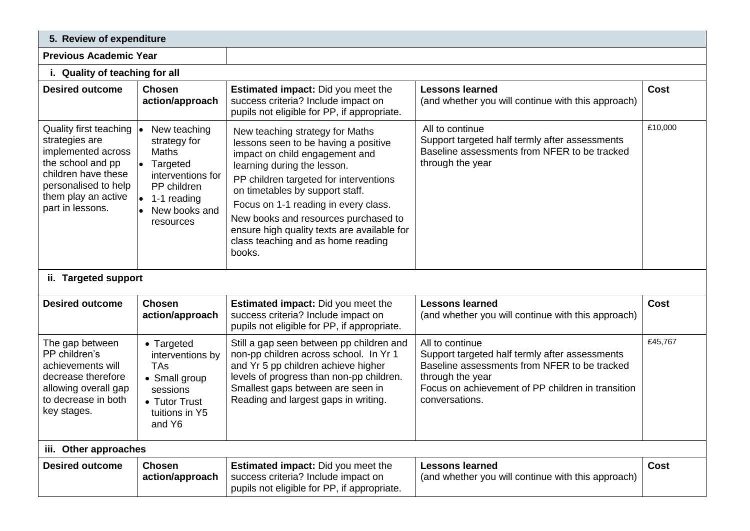| 5. Review of expenditure                                                                                                                                                                                                                                            |                                                                                                                                                              |                                                                                                                                                                                                                                                                                                                                                                                                      |                                                                                                                                                                                                              |             |  |  |  |  |  |
|---------------------------------------------------------------------------------------------------------------------------------------------------------------------------------------------------------------------------------------------------------------------|--------------------------------------------------------------------------------------------------------------------------------------------------------------|------------------------------------------------------------------------------------------------------------------------------------------------------------------------------------------------------------------------------------------------------------------------------------------------------------------------------------------------------------------------------------------------------|--------------------------------------------------------------------------------------------------------------------------------------------------------------------------------------------------------------|-------------|--|--|--|--|--|
| <b>Previous Academic Year</b>                                                                                                                                                                                                                                       |                                                                                                                                                              |                                                                                                                                                                                                                                                                                                                                                                                                      |                                                                                                                                                                                                              |             |  |  |  |  |  |
| i. Quality of teaching for all                                                                                                                                                                                                                                      |                                                                                                                                                              |                                                                                                                                                                                                                                                                                                                                                                                                      |                                                                                                                                                                                                              |             |  |  |  |  |  |
| <b>Desired outcome</b>                                                                                                                                                                                                                                              | <b>Chosen</b><br>action/approach                                                                                                                             | Estimated impact: Did you meet the<br>success criteria? Include impact on<br>pupils not eligible for PP, if appropriate.                                                                                                                                                                                                                                                                             | <b>Lessons learned</b><br>(and whether you will continue with this approach)                                                                                                                                 | Cost        |  |  |  |  |  |
| Quality first teaching<br>strategies are<br>implemented across<br>the school and pp<br>children have these<br>personalised to help<br>them play an active<br>part in lessons.                                                                                       | New teaching<br>strategy for<br><b>Maths</b><br>$\bullet$<br>Targeted<br>interventions for<br>PP children<br>l.<br>1-1 reading<br>New books and<br>resources | New teaching strategy for Maths<br>lessons seen to be having a positive<br>impact on child engagement and<br>learning during the lesson.<br>PP children targeted for interventions<br>on timetables by support staff.<br>Focus on 1-1 reading in every class.<br>New books and resources purchased to<br>ensure high quality texts are available for<br>class teaching and as home reading<br>books. | All to continue<br>Support targeted half termly after assessments<br>Baseline assessments from NFER to be tracked<br>through the year                                                                        | £10,000     |  |  |  |  |  |
| ii. Targeted support                                                                                                                                                                                                                                                |                                                                                                                                                              |                                                                                                                                                                                                                                                                                                                                                                                                      |                                                                                                                                                                                                              |             |  |  |  |  |  |
| <b>Desired outcome</b>                                                                                                                                                                                                                                              | <b>Chosen</b><br>action/approach                                                                                                                             | Estimated impact: Did you meet the<br>success criteria? Include impact on<br>pupils not eligible for PP, if appropriate.                                                                                                                                                                                                                                                                             | <b>Lessons learned</b><br>(and whether you will continue with this approach)                                                                                                                                 | Cost        |  |  |  |  |  |
| The gap between<br>• Targeted<br>PP children's<br>interventions by<br>achievements will<br><b>TAs</b><br>decrease therefore<br>• Small group<br>allowing overall gap<br>sessions<br>to decrease in both<br>• Tutor Trust<br>key stages.<br>tuitions in Y5<br>and Y6 |                                                                                                                                                              | Still a gap seen between pp children and<br>non-pp children across school. In Yr 1<br>and Yr 5 pp children achieve higher<br>levels of progress than non-pp children.<br>Smallest gaps between are seen in<br>Reading and largest gaps in writing.                                                                                                                                                   | All to continue<br>Support targeted half termly after assessments<br>Baseline assessments from NFER to be tracked<br>through the year<br>Focus on achievement of PP children in transition<br>conversations. | £45,767     |  |  |  |  |  |
| iii. Other approaches                                                                                                                                                                                                                                               |                                                                                                                                                              |                                                                                                                                                                                                                                                                                                                                                                                                      |                                                                                                                                                                                                              |             |  |  |  |  |  |
| <b>Desired outcome</b>                                                                                                                                                                                                                                              | <b>Chosen</b><br>action/approach                                                                                                                             | <b>Estimated impact:</b> Did you meet the<br>success criteria? Include impact on<br>pupils not eligible for PP, if appropriate.                                                                                                                                                                                                                                                                      | <b>Lessons learned</b><br>(and whether you will continue with this approach)                                                                                                                                 | <b>Cost</b> |  |  |  |  |  |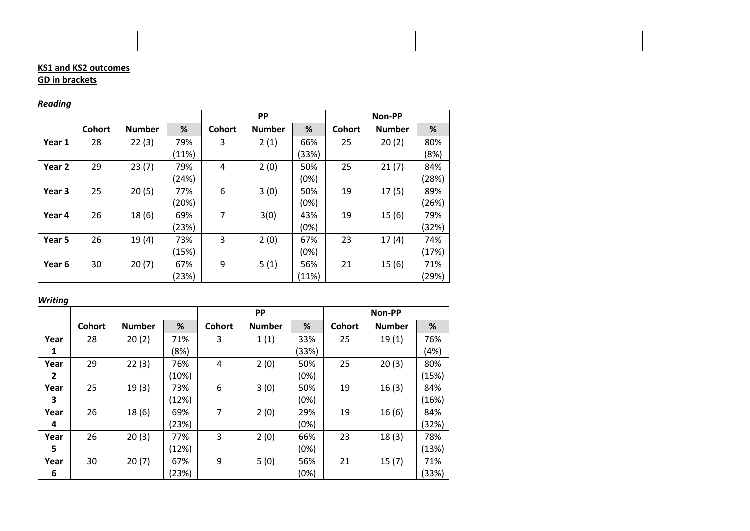### **KS1 and KS2 outcomes**

### **GD in brackets**

# *Reading*

|        |               |               |       |                | <b>PP</b>     |       |               | Non-PP        |       |
|--------|---------------|---------------|-------|----------------|---------------|-------|---------------|---------------|-------|
|        | <b>Cohort</b> | <b>Number</b> | %     | <b>Cohort</b>  | <b>Number</b> | %     | <b>Cohort</b> | <b>Number</b> | %     |
| Year 1 | 28            | 22(3)         | 79%   | 3              | 2(1)          | 66%   | 25            | 20(2)         | 80%   |
|        |               |               | (11%) |                |               | (33%) |               |               | (8%)  |
| Year 2 | 29            | 23(7)         | 79%   | 4              | 2(0)          | 50%   | 25            | 21(7)         | 84%   |
|        |               |               | (24%) |                |               | (0%)  |               |               | (28%) |
| Year 3 | 25            | 20(5)         | 77%   | 6              | 3(0)          | 50%   | 19            | 17(5)         | 89%   |
|        |               |               | (20%) |                |               | (0%)  |               |               | (26%) |
| Year 4 | 26            | 18(6)         | 69%   | $\overline{7}$ | 3(0)          | 43%   | 19            | 15(6)         | 79%   |
|        |               |               | (23%) |                |               | (0%)  |               |               | (32%) |
| Year 5 | 26            | 19(4)         | 73%   | 3              | 2(0)          | 67%   | 23            | 17(4)         | 74%   |
|        |               |               | (15%) |                |               | (0%)  |               |               | (17%) |
| Year 6 | 30            | 20(7)         | 67%   | 9              | 5(1)          | 56%   | 21            | 15(6)         | 71%   |
|        |               |               | (23%) |                |               | (11%) |               |               | (29%) |

## *Writing*

|      |               |               |       |               | <b>PP</b>     |       |               | Non-PP        |       |
|------|---------------|---------------|-------|---------------|---------------|-------|---------------|---------------|-------|
|      | <b>Cohort</b> | <b>Number</b> | %     | <b>Cohort</b> | <b>Number</b> | %     | <b>Cohort</b> | <b>Number</b> | %     |
| Year | 28            | 20(2)         | 71%   | 3             | 1(1)          | 33%   | 25            | 19(1)         | 76%   |
| 1    |               |               | (8%)  |               |               | (33%) |               |               | (4%)  |
| Year | 29            | 22(3)         | 76%   | 4             | 2(0)          | 50%   | 25            | 20(3)         | 80%   |
| 2    |               |               | (10%) |               |               | (0%)  |               |               | (15%) |
| Year | 25            | 19(3)         | 73%   | 6             | 3(0)          | 50%   | 19            | 16(3)         | 84%   |
| 3    |               |               | (12%) |               |               | (0%)  |               |               | (16%) |
| Year | 26            | 18(6)         | 69%   | 7             | 2(0)          | 29%   | 19            | 16(6)         | 84%   |
| 4    |               |               | (23%) |               |               | (0%)  |               |               | (32%) |
| Year | 26            | 20(3)         | 77%   | 3             | 2(0)          | 66%   | 23            | 18(3)         | 78%   |
| 5    |               |               | (12%) |               |               | (0%)  |               |               | (13%) |
| Year | 30            | 20(7)         | 67%   | 9             | 5(0)          | 56%   | 21            | 15(7)         | 71%   |
| 6    |               |               | (23%) |               |               | (0%)  |               |               | (33%) |